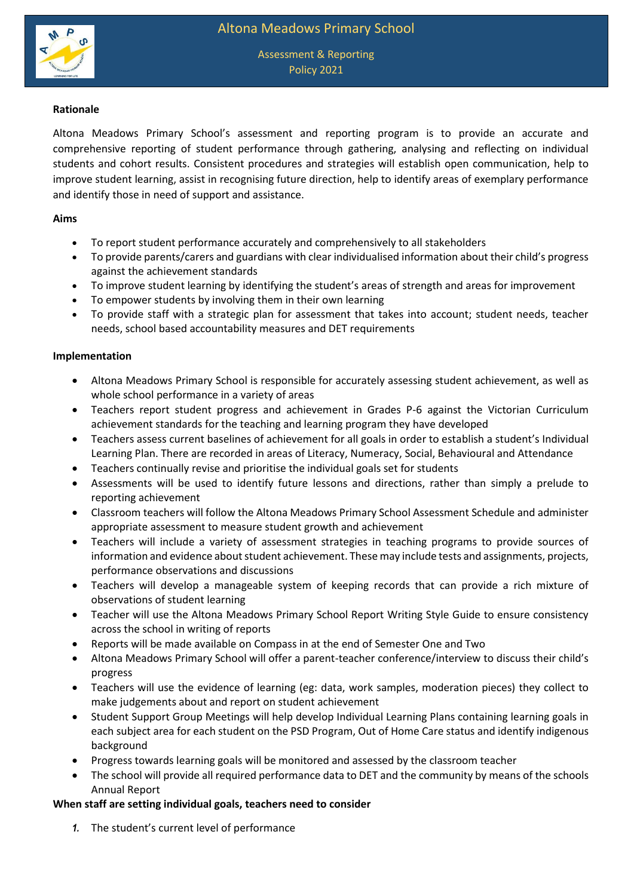

## **Rationale**

Altona Meadows Primary School's assessment and reporting program is to provide an accurate and comprehensive reporting of student performance through gathering, analysing and reflecting on individual students and cohort results. Consistent procedures and strategies will establish open communication, help to improve student learning, assist in recognising future direction, help to identify areas of exemplary performance and identify those in need of support and assistance.

### **Aims**

- To report student performance accurately and comprehensively to all stakeholders
- To provide parents/carers and guardians with clear individualised information about their child's progress against the achievement standards
- To improve student learning by identifying the student's areas of strength and areas for improvement
- To empower students by involving them in their own learning
- To provide staff with a strategic plan for assessment that takes into account; student needs, teacher needs, school based accountability measures and DET requirements

### **Implementation**

- Altona Meadows Primary School is responsible for accurately assessing student achievement, as well as whole school performance in a variety of areas
- Teachers report student progress and achievement in Grades P-6 against the Victorian Curriculum achievement standards for the teaching and learning program they have developed
- Teachers assess current baselines of achievement for all goals in order to establish a student's Individual Learning Plan. There are recorded in areas of Literacy, Numeracy, Social, Behavioural and Attendance
- Teachers continually revise and prioritise the individual goals set for students
- Assessments will be used to identify future lessons and directions, rather than simply a prelude to reporting achievement
- Classroom teachers will follow the Altona Meadows Primary School Assessment Schedule and administer appropriate assessment to measure student growth and achievement
- Teachers will include a variety of assessment strategies in teaching programs to provide sources of information and evidence about student achievement. These may include tests and assignments, projects, performance observations and discussions
- Teachers will develop a manageable system of keeping records that can provide a rich mixture of observations of student learning
- Teacher will use the Altona Meadows Primary School Report Writing Style Guide to ensure consistency across the school in writing of reports
- Reports will be made available on Compass in at the end of Semester One and Two
- Altona Meadows Primary School will offer a parent-teacher conference/interview to discuss their child's progress
- Teachers will use the evidence of learning (eg: data, work samples, moderation pieces) they collect to make judgements about and report on student achievement
- Student Support Group Meetings will help develop Individual Learning Plans containing learning goals in each subject area for each student on the PSD Program, Out of Home Care status and identify indigenous background
- Progress towards learning goals will be monitored and assessed by the classroom teacher
- The school will provide all required performance data to DET and the community by means of the schools Annual Report

# **When staff are setting individual goals, teachers need to consider**

*1.* The student's current level of performance